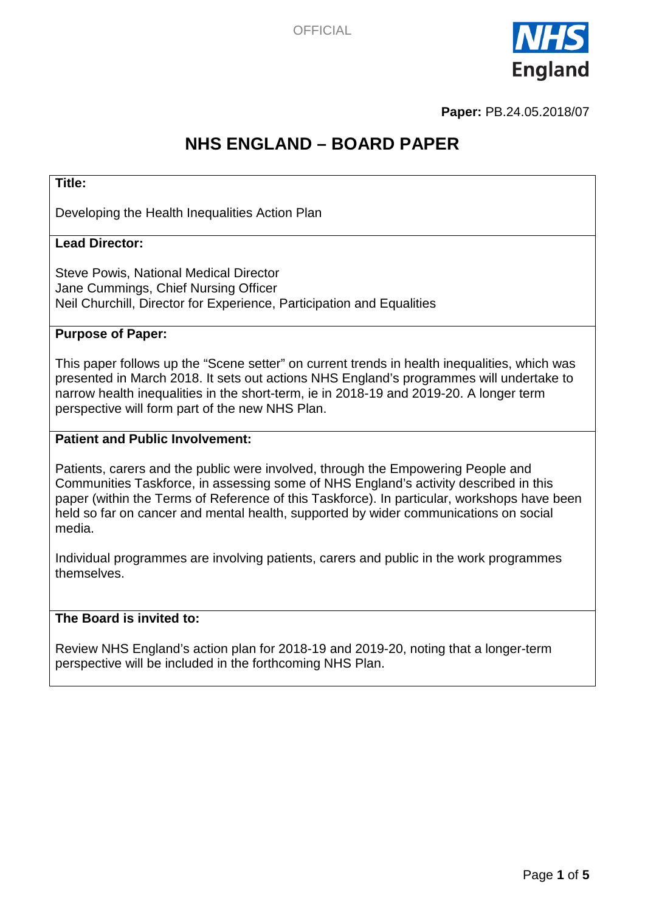

**Paper:** PB.24.05.2018/07

# **NHS ENGLAND – BOARD PAPER**

#### **Title:**

Developing the Health Inequalities Action Plan

#### **Lead Director:**

Steve Powis, National Medical Director Jane Cummings, Chief Nursing Officer Neil Churchill, Director for Experience, Participation and Equalities

#### **Purpose of Paper:**

This paper follows up the "Scene setter" on current trends in health inequalities, which was presented in March 2018. It sets out actions NHS England's programmes will undertake to narrow health inequalities in the short-term, ie in 2018-19 and 2019-20. A longer term perspective will form part of the new NHS Plan.

#### **Patient and Public Involvement:**

Patients, carers and the public were involved, through the Empowering People and Communities Taskforce, in assessing some of NHS England's activity described in this paper (within the Terms of Reference of this Taskforce). In particular, workshops have been held so far on cancer and mental health, supported by wider communications on social media.

Individual programmes are involving patients, carers and public in the work programmes themselves.

#### **The Board is invited to:**

Review NHS England's action plan for 2018-19 and 2019-20, noting that a longer-term perspective will be included in the forthcoming NHS Plan.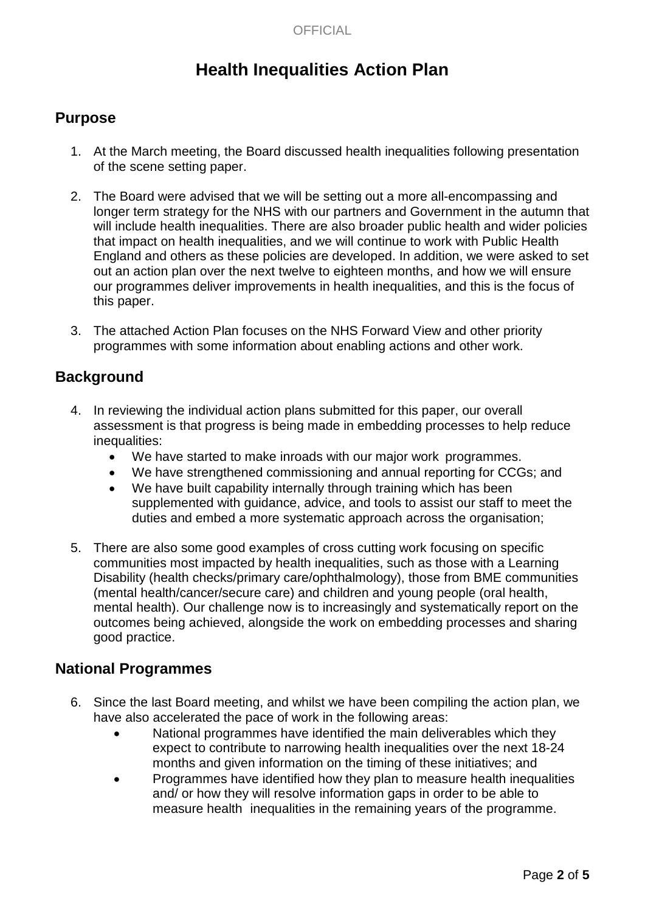## **Health Inequalities Action Plan**

### **Purpose**

- 1. At the March meeting, the Board discussed health inequalities following presentation of the scene setting paper.
- 2. The Board were advised that we will be setting out a more all-encompassing and longer term strategy for the NHS with our partners and Government in the autumn that will include health inequalities. There are also broader public health and wider policies that impact on health inequalities, and we will continue to work with Public Health England and others as these policies are developed. In addition, we were asked to set out an action plan over the next twelve to eighteen months, and how we will ensure our programmes deliver improvements in health inequalities, and this is the focus of this paper.
- 3. The attached Action Plan focuses on the NHS Forward View and other priority programmes with some information about enabling actions and other work.

#### **Background**

- 4. In reviewing the individual action plans submitted for this paper, our overall assessment is that progress is being made in embedding processes to help reduce inequalities:
	- We have started to make inroads with our major work programmes.
	- We have strengthened commissioning and annual reporting for CCGs; and
	- We have built capability internally through training which has been supplemented with guidance, advice, and tools to assist our staff to meet the duties and embed a more systematic approach across the organisation;
- 5. There are also some good examples of cross cutting work focusing on specific communities most impacted by health inequalities, such as those with a Learning Disability (health checks/primary care/ophthalmology), those from BME communities (mental health/cancer/secure care) and children and young people (oral health, mental health). Our challenge now is to increasingly and systematically report on the outcomes being achieved, alongside the work on embedding processes and sharing good practice.

### **National Programmes**

- 6. Since the last Board meeting, and whilst we have been compiling the action plan, we have also accelerated the pace of work in the following areas:
	- National programmes have identified the main deliverables which they expect to contribute to narrowing health inequalities over the next 18-24 months and given information on the timing of these initiatives; and
	- Programmes have identified how they plan to measure health inequalities and/ or how they will resolve information gaps in order to be able to measure health inequalities in the remaining years of the programme.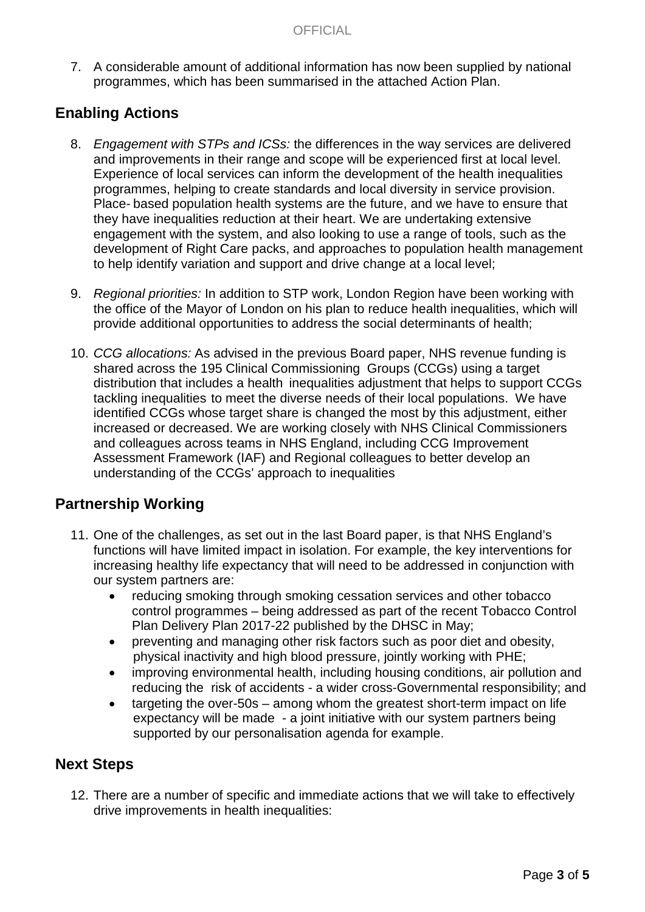7. A considerable amount of additional information has now been supplied by national programmes, which has been summarised in the attached Action Plan.

### **Enabling Actions**

- 8. *Engagement with STPs and ICSs:* the differences in the way services are delivered and improvements in their range and scope will be experienced first at local level. Experience of local services can inform the development of the health inequalities programmes, helping to create standards and local diversity in service provision. Place- based population health systems are the future, and we have to ensure that they have inequalities reduction at their heart. We are undertaking extensive engagement with the system, and also looking to use a range of tools, such as the development of Right Care packs, and approaches to population health management to help identify variation and support and drive change at a local level;
- 9. *Regional priorities:* In addition to STP work, London Region have been working with the office of the Mayor of London on his plan to reduce health inequalities, which will provide additional opportunities to address the social determinants of health;
- 10. *CCG allocations:* As advised in the previous Board paper, NHS revenue funding is shared across the 195 Clinical Commissioning Groups (CCGs) using a target distribution that includes a health inequalities adjustment that helps to support CCGs tackling inequalities to meet the diverse needs of their local populations. We have identified CCGs whose target share is changed the most by this adjustment, either increased or decreased. We are working closely with NHS Clinical Commissioners and colleagues across teams in NHS England, including CCG Improvement Assessment Framework (IAF) and Regional colleagues to better develop an understanding of the CCGs' approach to inequalities

### **Partnership Working**

- 11. One of the challenges, as set out in the last Board paper, is that NHS England's functions will have limited impact in isolation. For example, the key interventions for increasing healthy life expectancy that will need to be addressed in conjunction with our system partners are:
	- reducing smoking through smoking cessation services and other tobacco control programmes – being addressed as part of the recent Tobacco Control Plan Delivery Plan 2017-22 published by the DHSC in May;
	- preventing and managing other risk factors such as poor diet and obesity, physical inactivity and high blood pressure, jointly working with PHE;
	- improving environmental health, including housing conditions, air pollution and reducing the risk of accidents - a wider cross-Governmental responsibility; and
	- targeting the over-50s among whom the greatest short-term impact on life expectancy will be made - a joint initiative with our system partners being supported by our personalisation agenda for example.

#### **Next Steps**

12. There are a number of specific and immediate actions that we will take to effectively drive improvements in health inequalities: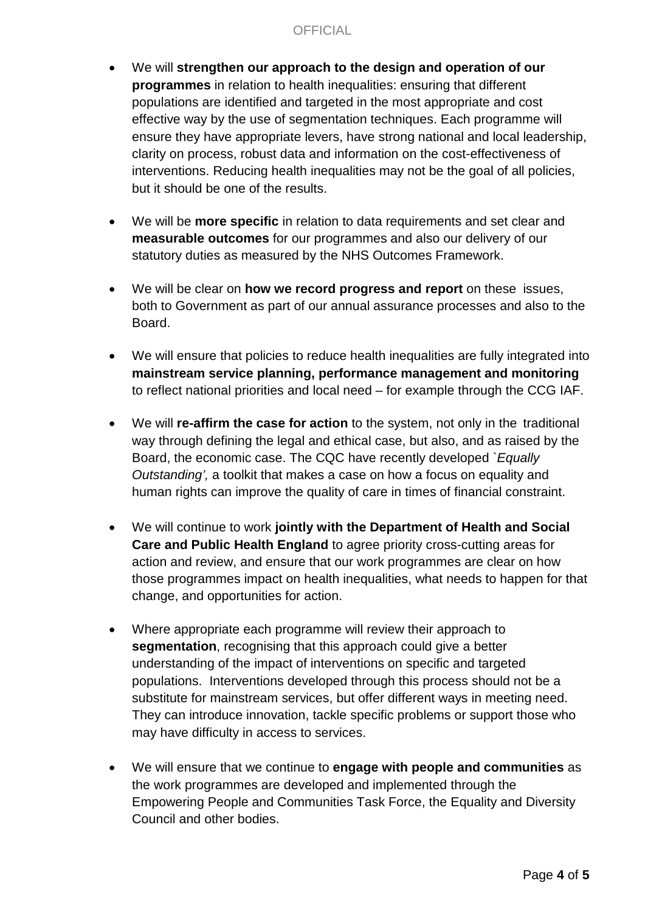- We will **strengthen our approach to the design and operation of our programmes** in relation to health inequalities: ensuring that different populations are identified and targeted in the most appropriate and cost effective way by the use of segmentation techniques. Each programme will ensure they have appropriate levers, have strong national and local leadership, clarity on process, robust data and information on the cost-effectiveness of interventions. Reducing health inequalities may not be the goal of all policies, but it should be one of the results.
- We will be **more specific** in relation to data requirements and set clear and **measurable outcomes** for our programmes and also our delivery of our statutory duties as measured by the NHS Outcomes Framework.
- We will be clear on **how we record progress and report** on these issues, both to Government as part of our annual assurance processes and also to the Board.
- We will ensure that policies to reduce health inequalities are fully integrated into **mainstream service planning, performance management and monitoring** to reflect national priorities and local need – for example through the CCG IAF.
- We will **re-affirm the case for action** to the system, not only in the traditional way through defining the legal and ethical case, but also, and as raised by the Board, the economic case. The CQC have recently developed *`Equally Outstanding',* a toolkit that makes a case on how a focus on equality and human rights can improve the quality of care in times of financial constraint.
- We will continue to work **jointly with the Department of Health and Social Care and Public Health England** to agree priority cross-cutting areas for action and review, and ensure that our work programmes are clear on how those programmes impact on health inequalities, what needs to happen for that change, and opportunities for action.
- Where appropriate each programme will review their approach to **segmentation**, recognising that this approach could give a better understanding of the impact of interventions on specific and targeted populations. Interventions developed through this process should not be a substitute for mainstream services, but offer different ways in meeting need. They can introduce innovation, tackle specific problems or support those who may have difficulty in access to services.
- We will ensure that we continue to **engage with people and communities** as the work programmes are developed and implemented through the Empowering People and Communities Task Force, the Equality and Diversity Council and other bodies.